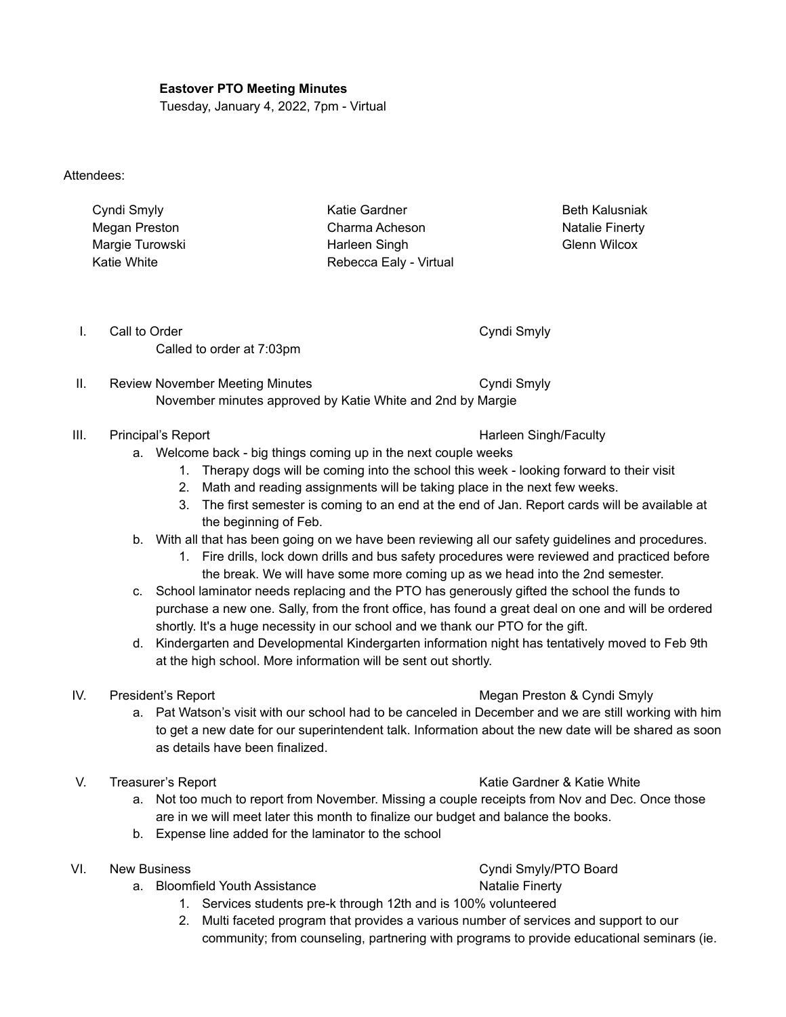**Eastover PTO Meeting Minutes**

Tuesday, January 4, 2022, 7pm - Virtual

Attendees:

| Cyndi Smyly     | Katie Gardner          | <b>Beth Kalusniak</b> |
|-----------------|------------------------|-----------------------|
| Megan Preston   | Charma Acheson         | Natalie Finerty       |
| Margie Turowski | Harleen Singh          | <b>Glenn Wilcox</b>   |
| Katie White     | Rebecca Ealy - Virtual |                       |

I. Call to Order Cyndi Smyly

Called to order at 7:03pm

II. Review November Meeting Minutes Cyndi Smyly November minutes approved by Katie White and 2nd by Margie

### III. Principal's Report **Harleen Singh/Faculty Harleen Singh/Faculty**

- a. Welcome back big things coming up in the next couple weeks
	- 1. Therapy dogs will be coming into the school this week looking forward to their visit
	- 2. Math and reading assignments will be taking place in the next few weeks.
	- 3. The first semester is coming to an end at the end of Jan. Report cards will be available at the beginning of Feb.
- b. With all that has been going on we have been reviewing all our safety guidelines and procedures.
	- 1. Fire drills, lock down drills and bus safety procedures were reviewed and practiced before the break. We will have some more coming up as we head into the 2nd semester.
- c. School laminator needs replacing and the PTO has generously gifted the school the funds to purchase a new one. Sally, from the front office, has found a great deal on one and will be ordered shortly. It's a huge necessity in our school and we thank our PTO for the gift.
- d. Kindergarten and Developmental Kindergarten information night has tentatively moved to Feb 9th at the high school. More information will be sent out shortly.

## IV. President's Report **Megan Preston & Cyndi Smyly Megan Preston & Cyndi Smyly**

- a. Pat Watson's visit with our school had to be canceled in December and we are still working with him to get a new date for our superintendent talk. Information about the new date will be shared as soon as details have been finalized.
- V. Treasurer's Report New York Care Katie Gardner & Katie White
	- a. Not too much to report from November. Missing a couple receipts from Nov and Dec. Once those are in we will meet later this month to finalize our budget and balance the books.
	- b. Expense line added for the laminator to the school
- VI. New Business **VI.** New Business **Cyndi Smyly/PTO Board** 
	- a. Bloomfield Youth Assistance Natalie Finerty
		- 1. Services students pre-k through 12th and is 100% volunteered
		- 2. Multi faceted program that provides a various number of services and support to our community; from counseling, partnering with programs to provide educational seminars (ie.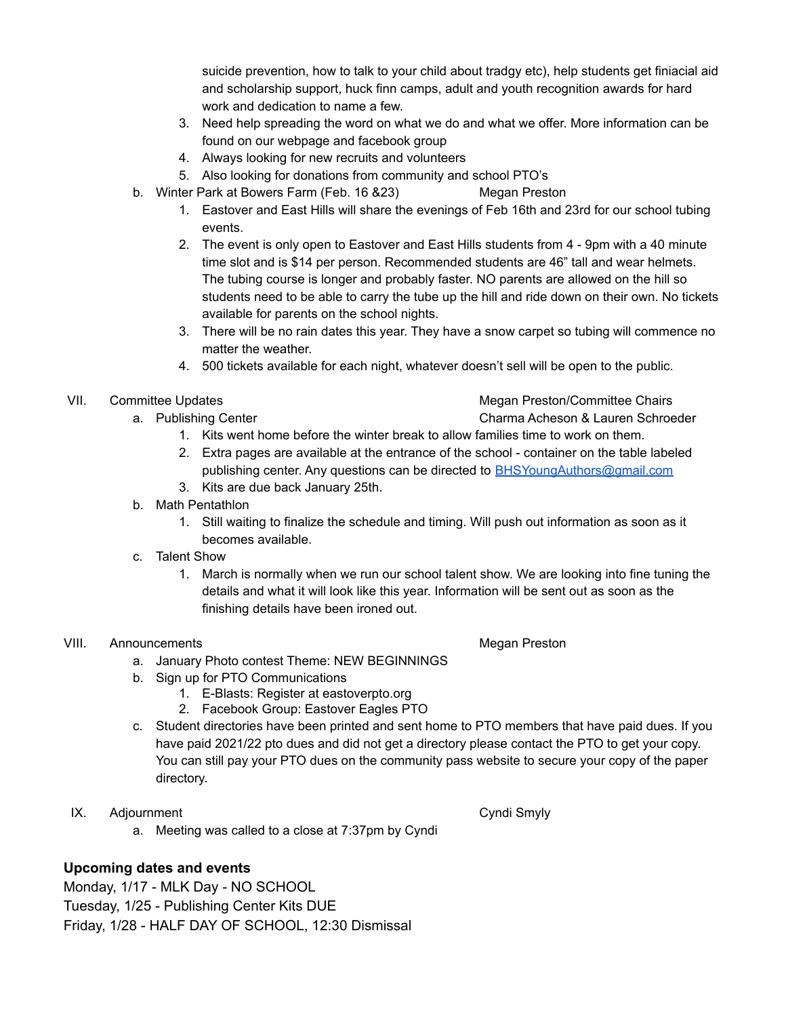suicide prevention, how to talk to your child about tradgy etc), help students get finiacial aid and scholarship support, huck finn camps, adult and youth recognition awards for hard work and dedication to name a few.

- 3. Need help spreading the word on what we do and what we offer. More information can be found on our webpage and facebook group
- 4. Always looking for new recruits and volunteers
- 5. Also looking for donations from community and school PTO's
- b. Winter Park at Bowers Farm (Feb. 16 & 23) Megan Preston
	- 1. Eastover and East Hills will share the evenings of Feb 16th and 23rd for our school tubing events.
	- 2. The event is only open to Eastover and East Hills students from 4 9pm with a 40 minute time slot and is \$14 per person. Recommended students are 46" tall and wear helmets. The tubing course is longer and probably faster. NO parents are allowed on the hill so students need to be able to carry the tube up the hill and ride down on their own. No tickets available for parents on the school nights.
	- 3. There will be no rain dates this year. They have a snow carpet so tubing will commence no matter the weather.
	- 4. 500 tickets available for each night, whatever doesn't sell will be open to the public.

- 
- VII. Committee Updates Megan Preston/Committee Chairs
	- a. Publishing Center Charma Acheson & Lauren Schroeder
		- 1. Kits went home before the winter break to allow families time to work on them.
		- 2. Extra pages are available at the entrance of the school container on the table labeled publishing center. Any questions can be directed to [BHSYoungAuthors@gmail.com](mailto:BHSYoungAuthors@gmail.com) 3. Kits are due back January 25th.
	- b. Math Pentathlon
		- 1. Still waiting to finalize the schedule and timing. Will push out information as soon as it becomes available.
	- c. Talent Show
		- 1. March is normally when we run our school talent show. We are looking into fine tuning the details and what it will look like this year. Information will be sent out as soon as the finishing details have been ironed out.

## VIII. Announcements **Megan Preston**

- 
- a. January Photo contest Theme: NEW BEGINNINGS
- b. Sign up for PTO Communications
	- 1. E-Blasts: Register at eastoverpto.org
	- 2. Facebook Group: Eastover Eagles PTO
- c. Student directories have been printed and sent home to PTO members that have paid dues. If you have paid 2021/22 pto dues and did not get a directory please contact the PTO to get your copy. You can still pay your PTO dues on the community pass website to secure your copy of the paper directory.
- IX. Adjournment Cyndi Smyly
	- a. Meeting was called to a close at 7:37pm by Cyndi

# **Upcoming dates and events**

Monday, 1/17 - MLK Day - NO SCHOOL Tuesday, 1/25 - Publishing Center Kits DUE Friday, 1/28 - HALF DAY OF SCHOOL, 12:30 Dismissal